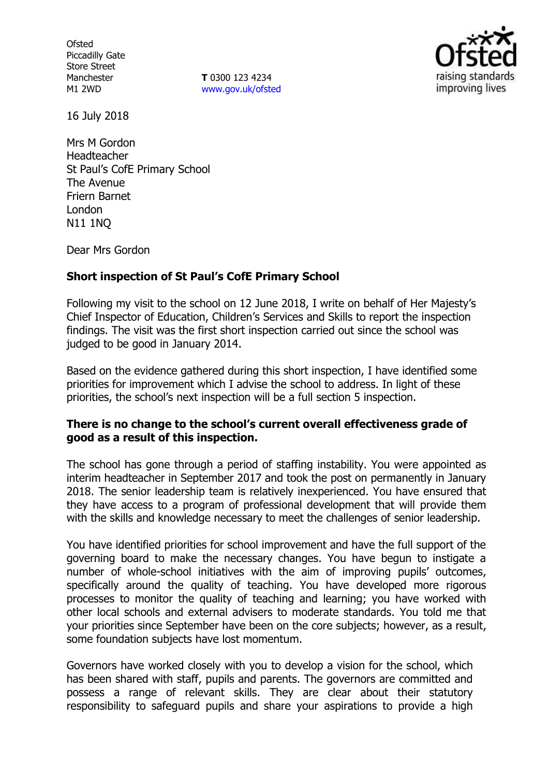**Ofsted** Piccadilly Gate Store Street Manchester M1 2WD

**T** 0300 123 4234 www.gov.uk/ofsted



16 July 2018

Mrs M Gordon Headteacher St Paul's CofE Primary School The Avenue Friern Barnet London N11 1NQ

Dear Mrs Gordon

### **Short inspection of St Paul's CofE Primary School**

Following my visit to the school on 12 June 2018, I write on behalf of Her Majesty's Chief Inspector of Education, Children's Services and Skills to report the inspection findings. The visit was the first short inspection carried out since the school was judged to be good in January 2014.

Based on the evidence gathered during this short inspection, I have identified some priorities for improvement which I advise the school to address. In light of these priorities, the school's next inspection will be a full section 5 inspection.

#### **There is no change to the school's current overall effectiveness grade of good as a result of this inspection.**

The school has gone through a period of staffing instability. You were appointed as interim headteacher in September 2017 and took the post on permanently in January 2018. The senior leadership team is relatively inexperienced. You have ensured that they have access to a program of professional development that will provide them with the skills and knowledge necessary to meet the challenges of senior leadership.

You have identified priorities for school improvement and have the full support of the governing board to make the necessary changes. You have begun to instigate a number of whole-school initiatives with the aim of improving pupils' outcomes, specifically around the quality of teaching. You have developed more rigorous processes to monitor the quality of teaching and learning; you have worked with other local schools and external advisers to moderate standards. You told me that your priorities since September have been on the core subjects; however, as a result, some foundation subjects have lost momentum.

Governors have worked closely with you to develop a vision for the school, which has been shared with staff, pupils and parents. The governors are committed and possess a range of relevant skills. They are clear about their statutory responsibility to safeguard pupils and share your aspirations to provide a high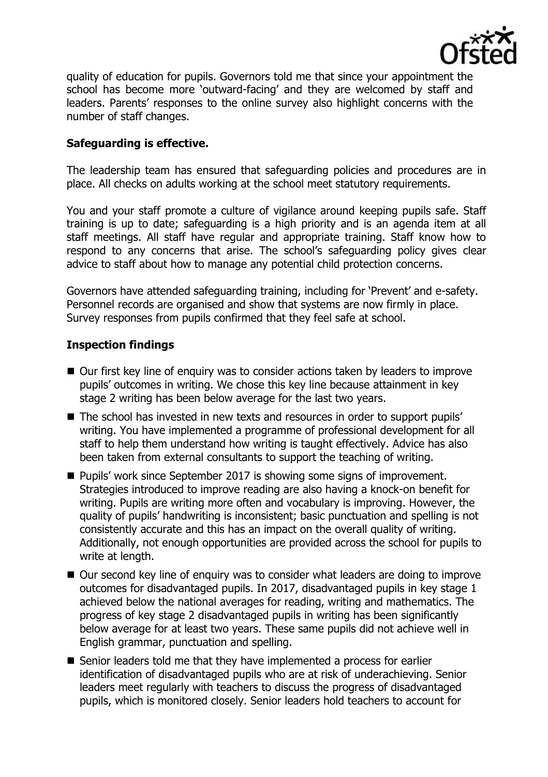

quality of education for pupils. Governors told me that since your appointment the school has become more 'outward-facing' and they are welcomed by staff and leaders. Parents' responses to the online survey also highlight concerns with the number of staff changes.

## **Safeguarding is effective.**

The leadership team has ensured that safeguarding policies and procedures are in place. All checks on adults working at the school meet statutory requirements.

You and your staff promote a culture of vigilance around keeping pupils safe. Staff training is up to date; safeguarding is a high priority and is an agenda item at all staff meetings. All staff have regular and appropriate training. Staff know how to respond to any concerns that arise. The school's safeguarding policy gives clear advice to staff about how to manage any potential child protection concerns.

Governors have attended safeguarding training, including for 'Prevent' and e-safety. Personnel records are organised and show that systems are now firmly in place. Survey responses from pupils confirmed that they feel safe at school.

### **Inspection findings**

- Our first key line of enquiry was to consider actions taken by leaders to improve pupils' outcomes in writing. We chose this key line because attainment in key stage 2 writing has been below average for the last two years.
- The school has invested in new texts and resources in order to support pupils' writing. You have implemented a programme of professional development for all staff to help them understand how writing is taught effectively. Advice has also been taken from external consultants to support the teaching of writing.
- Pupils' work since September 2017 is showing some signs of improvement. Strategies introduced to improve reading are also having a knock-on benefit for writing. Pupils are writing more often and vocabulary is improving. However, the quality of pupils' handwriting is inconsistent; basic punctuation and spelling is not consistently accurate and this has an impact on the overall quality of writing. Additionally, not enough opportunities are provided across the school for pupils to write at length.
- Our second key line of enquiry was to consider what leaders are doing to improve outcomes for disadvantaged pupils. In 2017, disadvantaged pupils in key stage 1 achieved below the national averages for reading, writing and mathematics. The progress of key stage 2 disadvantaged pupils in writing has been significantly below average for at least two years. These same pupils did not achieve well in English grammar, punctuation and spelling.
- Senior leaders told me that they have implemented a process for earlier identification of disadvantaged pupils who are at risk of underachieving. Senior leaders meet regularly with teachers to discuss the progress of disadvantaged pupils, which is monitored closely. Senior leaders hold teachers to account for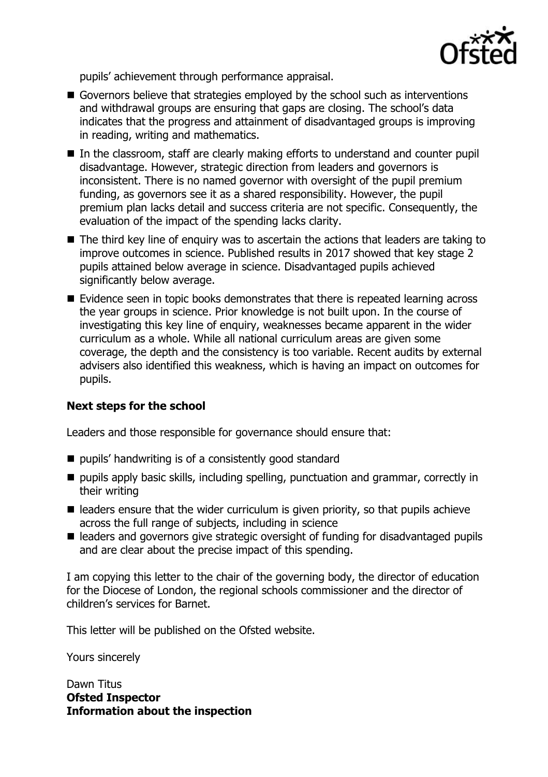

pupils' achievement through performance appraisal.

- Governors believe that strategies employed by the school such as interventions and withdrawal groups are ensuring that gaps are closing. The school's data indicates that the progress and attainment of disadvantaged groups is improving in reading, writing and mathematics.
- In the classroom, staff are clearly making efforts to understand and counter pupil disadvantage. However, strategic direction from leaders and governors is inconsistent. There is no named governor with oversight of the pupil premium funding, as governors see it as a shared responsibility. However, the pupil premium plan lacks detail and success criteria are not specific. Consequently, the evaluation of the impact of the spending lacks clarity.
- The third key line of enguiry was to ascertain the actions that leaders are taking to improve outcomes in science. Published results in 2017 showed that key stage 2 pupils attained below average in science. Disadvantaged pupils achieved significantly below average.
- $\blacksquare$  Evidence seen in topic books demonstrates that there is repeated learning across the year groups in science. Prior knowledge is not built upon. In the course of investigating this key line of enquiry, weaknesses became apparent in the wider curriculum as a whole. While all national curriculum areas are given some coverage, the depth and the consistency is too variable. Recent audits by external advisers also identified this weakness, which is having an impact on outcomes for pupils.

# **Next steps for the school**

Leaders and those responsible for governance should ensure that:

- pupils' handwriting is of a consistently good standard
- $\blacksquare$  pupils apply basic skills, including spelling, punctuation and grammar, correctly in their writing
- $\blacksquare$  leaders ensure that the wider curriculum is given priority, so that pupils achieve across the full range of subjects, including in science
- leaders and governors give strategic oversight of funding for disadvantaged pupils and are clear about the precise impact of this spending.

I am copying this letter to the chair of the governing body, the director of education for the Diocese of London, the regional schools commissioner and the director of children's services for Barnet.

This letter will be published on the Ofsted website.

Yours sincerely

Dawn Titus **Ofsted Inspector Information about the inspection**